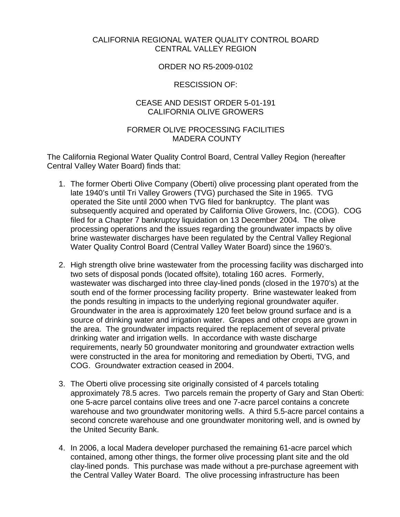### CALIFORNIA REGIONAL WATER QUALITY CONTROL BOARD CENTRAL VALLEY REGION

### ORDER NO R5-2009-0102

### RESCISSION OF:

# CEASE AND DESIST ORDER 5-01-191 CALIFORNIA OLIVE GROWERS

## FORMER OLIVE PROCESSING FACILITIES MADERA COUNTY

The California Regional Water Quality Control Board, Central Valley Region (hereafter Central Valley Water Board) finds that:

- 1. The former Oberti Olive Company (Oberti) olive processing plant operated from the late 1940's until Tri Valley Growers (TVG) purchased the Site in 1965. TVG operated the Site until 2000 when TVG filed for bankruptcy. The plant was subsequently acquired and operated by California Olive Growers, Inc. (COG). COG filed for a Chapter 7 bankruptcy liquidation on 13 December 2004. The olive processing operations and the issues regarding the groundwater impacts by olive brine wastewater discharges have been regulated by the Central Valley Regional Water Quality Control Board (Central Valley Water Board) since the 1960's.
- 2. High strength olive brine wastewater from the processing facility was discharged into two sets of disposal ponds (located offsite), totaling 160 acres. Formerly, wastewater was discharged into three clay-lined ponds (closed in the 1970's) at the south end of the former processing facility property. Brine wastewater leaked from the ponds resulting in impacts to the underlying regional groundwater aquifer. Groundwater in the area is approximately 120 feet below ground surface and is a source of drinking water and irrigation water. Grapes and other crops are grown in the area. The groundwater impacts required the replacement of several private drinking water and irrigation wells. In accordance with waste discharge requirements, nearly 50 groundwater monitoring and groundwater extraction wells were constructed in the area for monitoring and remediation by Oberti, TVG, and COG. Groundwater extraction ceased in 2004.
- 3. The Oberti olive processing site originally consisted of 4 parcels totaling approximately 78.5 acres. Two parcels remain the property of Gary and Stan Oberti: one 5-acre parcel contains olive trees and one 7-acre parcel contains a concrete warehouse and two groundwater monitoring wells. A third 5.5-acre parcel contains a second concrete warehouse and one groundwater monitoring well, and is owned by the United Security Bank.
- 4. In 2006, a local Madera developer purchased the remaining 61-acre parcel which contained, among other things, the former olive processing plant site and the old clay-lined ponds. This purchase was made without a pre-purchase agreement with the Central Valley Water Board. The olive processing infrastructure has been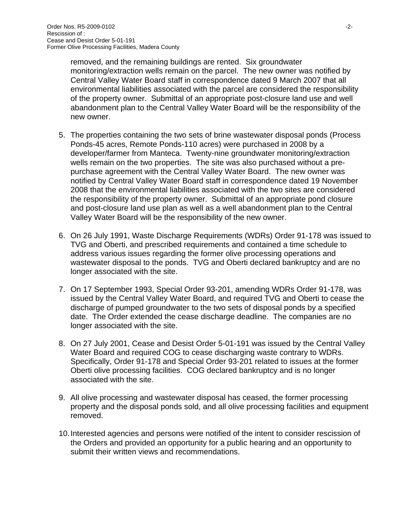removed, and the remaining buildings are rented. Six groundwater monitoring/extraction wells remain on the parcel. The new owner was notified by Central Valley Water Board staff in correspondence dated 9 March 2007 that all environmental liabilities associated with the parcel are considered the responsibility of the property owner. Submittal of an appropriate post-closure land use and well abandonment plan to the Central Valley Water Board will be the responsibility of the new owner.

- 5. The properties containing the two sets of brine wastewater disposal ponds (Process Ponds-45 acres, Remote Ponds-110 acres) were purchased in 2008 by a developer/farmer from Manteca. Twenty-nine groundwater monitoring/extraction wells remain on the two properties. The site was also purchased without a prepurchase agreement with the Central Valley Water Board. The new owner was notified by Central Valley Water Board staff in correspondence dated 19 November 2008 that the environmental liabilities associated with the two sites are considered the responsibility of the property owner. Submittal of an appropriate pond closure and post-closure land use plan as well as a well abandonment plan to the Central Valley Water Board will be the responsibility of the new owner.
- 6. On 26 July 1991, Waste Discharge Requirements (WDRs) Order 91-178 was issued to TVG and Oberti, and prescribed requirements and contained a time schedule to address various issues regarding the former olive processing operations and wastewater disposal to the ponds. TVG and Oberti declared bankruptcy and are no longer associated with the site.
- 7. On 17 September 1993, Special Order 93-201, amending WDRs Order 91-178, was issued by the Central Valley Water Board, and required TVG and Oberti to cease the discharge of pumped groundwater to the two sets of disposal ponds by a specified date. The Order extended the cease discharge deadline. The companies are no longer associated with the site.
- 8. On 27 July 2001, Cease and Desist Order 5-01-191 was issued by the Central Valley Water Board and required COG to cease discharging waste contrary to WDRs. Specifically, Order 91-178 and Special Order 93-201 related to issues at the former Oberti olive processing facilities. COG declared bankruptcy and is no longer associated with the site.
- 9. All olive processing and wastewater disposal has ceased, the former processing property and the disposal ponds sold, and all olive processing facilities and equipment removed.
- 10. Interested agencies and persons were notified of the intent to consider rescission of the Orders and provided an opportunity for a public hearing and an opportunity to submit their written views and recommendations.